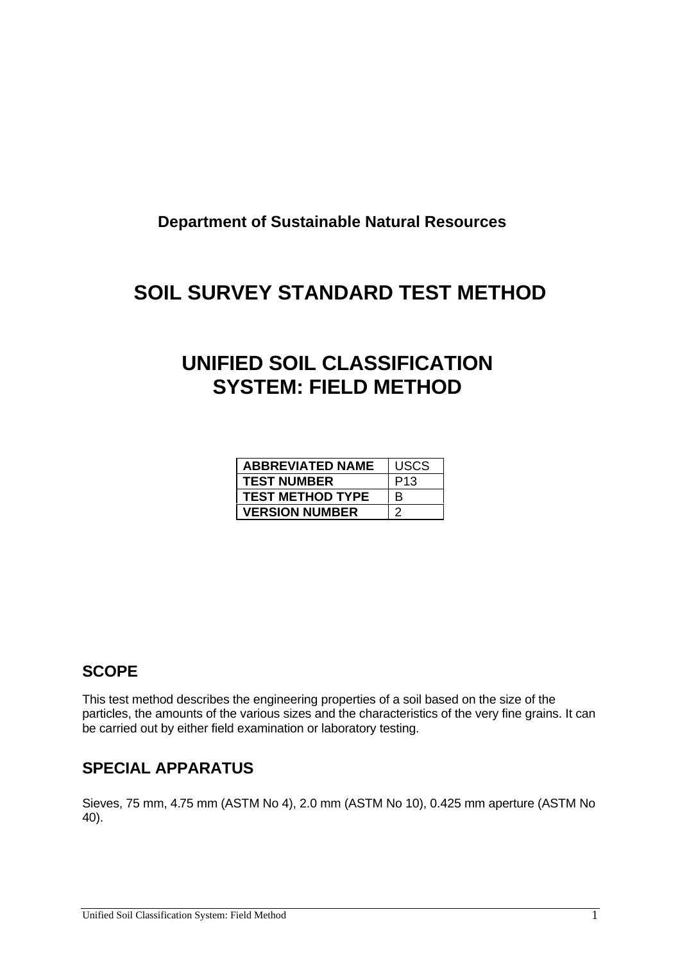### **Department of Sustainable Natural Resources**

## **SOIL SURVEY STANDARD TEST METHOD**

# **UNIFIED SOIL CLASSIFICATION SYSTEM: FIELD METHOD**

| <b>ABBREVIATED NAME</b> | <b>USCS</b> |
|-------------------------|-------------|
| <b>TEST NUMBER</b>      | P13         |
| <b>TEST METHOD TYPE</b> | R           |
| <b>VERSION NUMBER</b>   |             |

### **SCOPE**

This test method describes the engineering properties of a soil based on the size of the particles, the amounts of the various sizes and the characteristics of the very fine grains. It can be carried out by either field examination or laboratory testing.

### **SPECIAL APPARATUS**

Sieves, 75 mm, 4.75 mm (ASTM No 4), 2.0 mm (ASTM No 10), 0.425 mm aperture (ASTM No 40).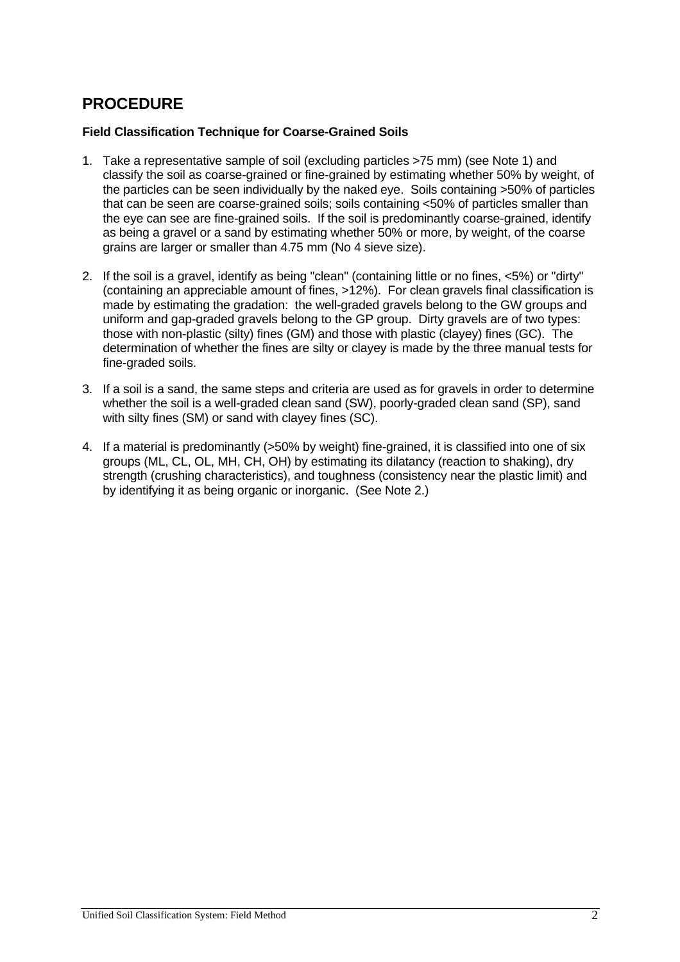### **PROCEDURE**

#### **Field Classification Technique for Coarse-Grained Soils**

- 1. Take a representative sample of soil (excluding particles >75 mm) (see Note 1) and classify the soil as coarse-grained or fine-grained by estimating whether 50% by weight, of the particles can be seen individually by the naked eye. Soils containing >50% of particles that can be seen are coarse-grained soils; soils containing <50% of particles smaller than the eye can see are fine-grained soils. If the soil is predominantly coarse-grained, identify as being a gravel or a sand by estimating whether 50% or more, by weight, of the coarse grains are larger or smaller than 4.75 mm (No 4 sieve size).
- 2. If the soil is a gravel, identify as being "clean" (containing little or no fines, <5%) or "dirty" (containing an appreciable amount of fines, >12%). For clean gravels final classification is made by estimating the gradation: the well-graded gravels belong to the GW groups and uniform and gap-graded gravels belong to the GP group. Dirty gravels are of two types: those with non-plastic (silty) fines (GM) and those with plastic (clayey) fines (GC). The determination of whether the fines are silty or clayey is made by the three manual tests for fine-graded soils.
- 3. If a soil is a sand, the same steps and criteria are used as for gravels in order to determine whether the soil is a well-graded clean sand (SW), poorly-graded clean sand (SP), sand with silty fines (SM) or sand with clayey fines (SC).
- 4. If a material is predominantly (>50% by weight) fine-grained, it is classified into one of six groups (ML, CL, OL, MH, CH, OH) by estimating its dilatancy (reaction to shaking), dry strength (crushing characteristics), and toughness (consistency near the plastic limit) and by identifying it as being organic or inorganic. (See Note 2.)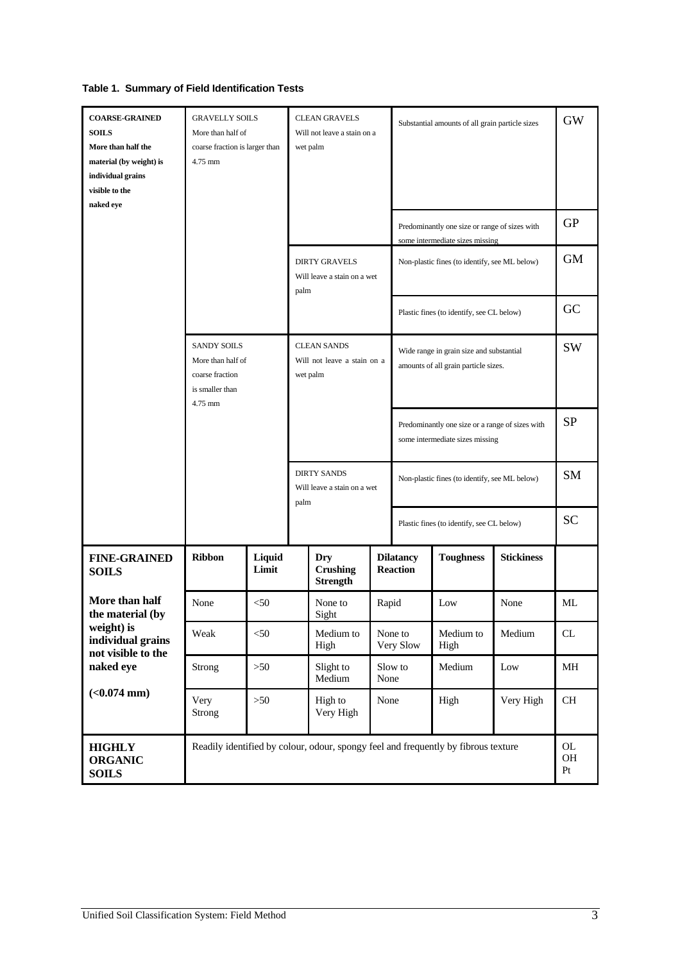|  |  | Table 1. Summary of Field Identification Tests |  |
|--|--|------------------------------------------------|--|
|--|--|------------------------------------------------|--|

| <b>GRAVELLY SOILS</b><br><b>COARSE-GRAINED</b><br><b>SOILS</b><br>More than half of<br>More than half the<br>coarse fraction is larger than<br>material (by weight) is<br>4.75 mm<br>individual grains<br>visible to the<br>naked eye |                                                                                          |                 | <b>CLEAN GRAVELS</b><br>Will not leave a stain on a<br>wet palm<br><b>DIRTY GRAVELS</b><br>Will leave a stain on a wet<br>palm |                                           |                                                                                  | Substantial amounts of all grain particle sizes<br>Predominantly one size or range of sizes with<br>some intermediate sizes missing<br>Non-plastic fines (to identify, see ML below) |                   |                   | <b>GW</b><br><b>GP</b><br><b>GM</b> |
|---------------------------------------------------------------------------------------------------------------------------------------------------------------------------------------------------------------------------------------|------------------------------------------------------------------------------------------|-----------------|--------------------------------------------------------------------------------------------------------------------------------|-------------------------------------------|----------------------------------------------------------------------------------|--------------------------------------------------------------------------------------------------------------------------------------------------------------------------------------|-------------------|-------------------|-------------------------------------|
|                                                                                                                                                                                                                                       |                                                                                          |                 |                                                                                                                                |                                           | Plastic fines (to identify, see CL below)                                        |                                                                                                                                                                                      |                   | GC                |                                     |
|                                                                                                                                                                                                                                       | <b>SANDY SOILS</b><br>More than half of<br>coarse fraction<br>is smaller than<br>4.75 mm |                 | <b>CLEAN SANDS</b><br>Will not leave a stain on a<br>wet palm                                                                  |                                           | Wide range in grain size and substantial<br>amounts of all grain particle sizes. |                                                                                                                                                                                      |                   | <b>SW</b>         |                                     |
|                                                                                                                                                                                                                                       |                                                                                          |                 |                                                                                                                                |                                           |                                                                                  | Predominantly one size or a range of sizes with<br>some intermediate sizes missing                                                                                                   |                   |                   | <b>SP</b>                           |
|                                                                                                                                                                                                                                       |                                                                                          |                 | <b>DIRTY SANDS</b><br>Will leave a stain on a wet<br>palm                                                                      |                                           | Non-plastic fines (to identify, see ML below)                                    |                                                                                                                                                                                      |                   | <b>SM</b>         |                                     |
|                                                                                                                                                                                                                                       |                                                                                          |                 |                                                                                                                                |                                           | Plastic fines (to identify, see CL below)                                        |                                                                                                                                                                                      |                   | <b>SC</b>         |                                     |
| <b>FINE-GRAINED</b><br><b>SOILS</b>                                                                                                                                                                                                   | <b>Ribbon</b>                                                                            | Liquid<br>Limit |                                                                                                                                | Dry<br><b>Crushing</b><br><b>Strength</b> |                                                                                  | <b>Dilatancy</b><br><b>Reaction</b>                                                                                                                                                  | <b>Toughness</b>  | <b>Stickiness</b> |                                     |
| More than half<br>the material (by<br>weight) is<br>individual grains<br>not visible to the<br>naked eye<br>$(<0.074$ mm)                                                                                                             | None                                                                                     | $50$            |                                                                                                                                | None to<br>Sight                          | Rapid                                                                            |                                                                                                                                                                                      | Low               | None              | МL                                  |
|                                                                                                                                                                                                                                       | Weak                                                                                     | $<$ 50          |                                                                                                                                | Medium to<br>High                         | None to<br>Very Slow                                                             |                                                                                                                                                                                      | Medium to<br>High | Medium            | CL                                  |
|                                                                                                                                                                                                                                       | Strong                                                                                   | $>50$           |                                                                                                                                | Slight to<br>Medium                       |                                                                                  | Slow to<br>None                                                                                                                                                                      | Medium            | Low               | MH                                  |
|                                                                                                                                                                                                                                       | Very<br>Strong                                                                           | $>50$           |                                                                                                                                | High to<br>Very High                      | None                                                                             |                                                                                                                                                                                      | High              | Very High         | $\rm CH$                            |
| <b>HIGHLY</b><br><b>ORGANIC</b><br><b>SOILS</b>                                                                                                                                                                                       | Readily identified by colour, odour, spongy feel and frequently by fibrous texture       |                 |                                                                                                                                |                                           |                                                                                  |                                                                                                                                                                                      |                   |                   | OL<br>OH<br>Pt                      |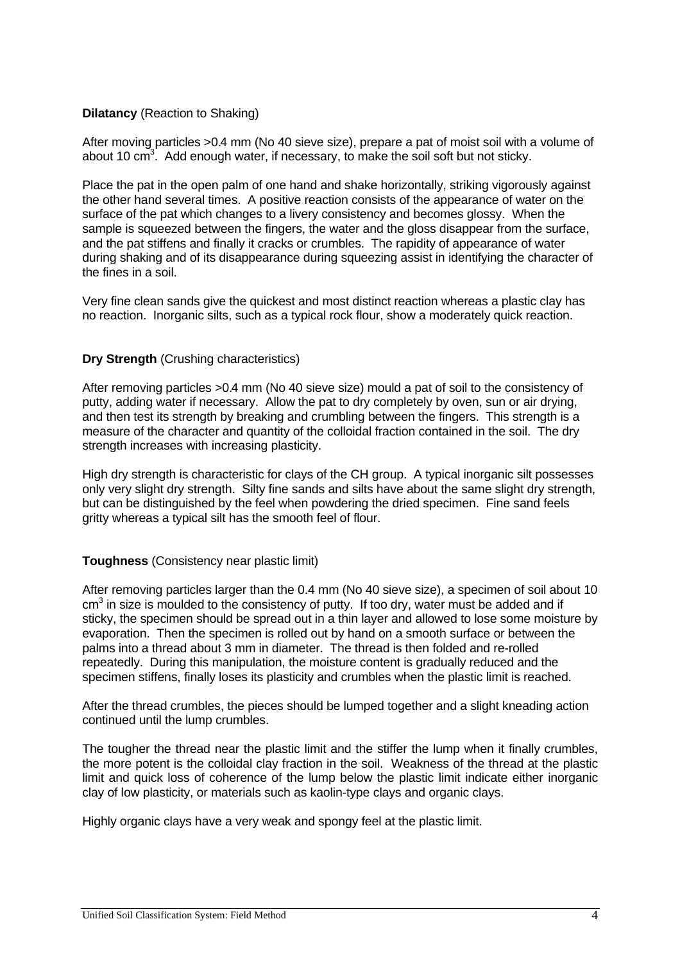#### **Dilatancy** (Reaction to Shaking)

After moving particles >0.4 mm (No 40 sieve size), prepare a pat of moist soil with a volume of about 10  $\text{cm}^3$ . Add enough water, if necessary, to make the soil soft but not sticky.

Place the pat in the open palm of one hand and shake horizontally, striking vigorously against the other hand several times. A positive reaction consists of the appearance of water on the surface of the pat which changes to a livery consistency and becomes glossy. When the sample is squeezed between the fingers, the water and the gloss disappear from the surface, and the pat stiffens and finally it cracks or crumbles. The rapidity of appearance of water during shaking and of its disappearance during squeezing assist in identifying the character of the fines in a soil.

Very fine clean sands give the quickest and most distinct reaction whereas a plastic clay has no reaction. Inorganic silts, such as a typical rock flour, show a moderately quick reaction.

#### **Dry Strength** (Crushing characteristics)

After removing particles >0.4 mm (No 40 sieve size) mould a pat of soil to the consistency of putty, adding water if necessary. Allow the pat to dry completely by oven, sun or air drying, and then test its strength by breaking and crumbling between the fingers. This strength is a measure of the character and quantity of the colloidal fraction contained in the soil. The dry strength increases with increasing plasticity.

High dry strength is characteristic for clays of the CH group. A typical inorganic silt possesses only very slight dry strength. Silty fine sands and silts have about the same slight dry strength, but can be distinguished by the feel when powdering the dried specimen. Fine sand feels gritty whereas a typical silt has the smooth feel of flour.

#### **Toughness** (Consistency near plastic limit)

After removing particles larger than the 0.4 mm (No 40 sieve size), a specimen of soil about 10  $cm<sup>3</sup>$  in size is moulded to the consistency of putty. If too dry, water must be added and if sticky, the specimen should be spread out in a thin layer and allowed to lose some moisture by evaporation. Then the specimen is rolled out by hand on a smooth surface or between the palms into a thread about 3 mm in diameter. The thread is then folded and re-rolled repeatedly. During this manipulation, the moisture content is gradually reduced and the specimen stiffens, finally loses its plasticity and crumbles when the plastic limit is reached.

After the thread crumbles, the pieces should be lumped together and a slight kneading action continued until the lump crumbles.

The tougher the thread near the plastic limit and the stiffer the lump when it finally crumbles, the more potent is the colloidal clay fraction in the soil. Weakness of the thread at the plastic limit and quick loss of coherence of the lump below the plastic limit indicate either inorganic clay of low plasticity, or materials such as kaolin-type clays and organic clays.

Highly organic clays have a very weak and spongy feel at the plastic limit.